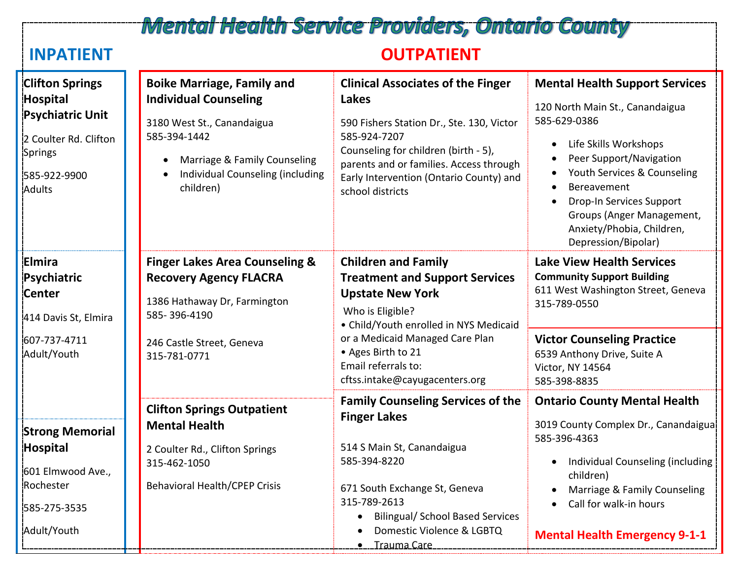## **Mental Health Service Providers, Ontario County**

### **INPATIENT OUTPATIENT**

| <b>Clifton Springs</b><br><b>Hospital</b><br><b>Psychiatric Unit</b><br>2 Coulter Rd. Clifton<br>Springs<br>585-922-9900<br><b>Adults</b> | <b>Boike Marriage, Family and</b><br><b>Individual Counseling</b><br>3180 West St., Canandaigua<br>585-394-1442<br>Marriage & Family Counseling<br>Individual Counseling (including<br>children) | <b>Clinical Associates of the Finger</b><br>Lakes<br>590 Fishers Station Dr., Ste. 130, Victor<br>585-924-7207<br>Counseling for children (birth - 5),<br>parents and or families. Access through<br>Early Intervention (Ontario County) and<br>school districts | <b>Mental Health Support Services</b><br>120 North Main St., Canandaigua<br>585-629-0386<br>Life Skills Workshops<br>Peer Support/Navigation<br>Youth Services & Counseling<br>Bereavement<br>Drop-In Services Support<br>Groups (Anger Management,<br>Anxiety/Phobia, Children,<br>Depression/Bipolar) |
|-------------------------------------------------------------------------------------------------------------------------------------------|--------------------------------------------------------------------------------------------------------------------------------------------------------------------------------------------------|------------------------------------------------------------------------------------------------------------------------------------------------------------------------------------------------------------------------------------------------------------------|---------------------------------------------------------------------------------------------------------------------------------------------------------------------------------------------------------------------------------------------------------------------------------------------------------|
| Elmira<br>Psychiatric<br><b>Center</b><br>414 Davis St, Elmira<br>607-737-4711                                                            | <b>Finger Lakes Area Counseling &amp;</b><br><b>Recovery Agency FLACRA</b><br>1386 Hathaway Dr, Farmington<br>585-396-4190<br>246 Castle Street, Geneva                                          | <b>Children and Family</b><br><b>Treatment and Support Services</b><br><b>Upstate New York</b><br>Who is Eligible?<br>• Child/Youth enrolled in NYS Medicaid<br>or a Medicaid Managed Care Plan                                                                  | <b>Lake View Health Services</b><br><b>Community Support Building</b><br>611 West Washington Street, Geneva<br>315-789-0550<br><b>Victor Counseling Practice</b>                                                                                                                                        |
| Adult/Youth                                                                                                                               | 315-781-0771                                                                                                                                                                                     | • Ages Birth to 21<br>Email referrals to:<br>cftss.intake@cayugacenters.org                                                                                                                                                                                      | 6539 Anthony Drive, Suite A<br>Victor, NY 14564<br>585-398-8835                                                                                                                                                                                                                                         |
|                                                                                                                                           | <b>Clifton Springs Outpatient</b>                                                                                                                                                                | <b>Family Counseling Services of the</b><br><b>Finger Lakes</b>                                                                                                                                                                                                  | <b>Ontario County Mental Health</b>                                                                                                                                                                                                                                                                     |
| <b>Strong Memorial</b><br>Hospital                                                                                                        | <b>Mental Health</b><br>2 Coulter Rd., Clifton Springs                                                                                                                                           | 514 S Main St, Canandaigua                                                                                                                                                                                                                                       | 3019 County Complex Dr., Canandaigua!<br>585-396-4363                                                                                                                                                                                                                                                   |
| 601 Elmwood Ave.,<br>Rochester                                                                                                            | 315-462-1050                                                                                                                                                                                     | 585-394-8220                                                                                                                                                                                                                                                     | Individual Counseling (including<br>children)                                                                                                                                                                                                                                                           |
| 585-275-3535                                                                                                                              | <b>Behavioral Health/CPEP Crisis</b>                                                                                                                                                             | 671 South Exchange St, Geneva<br>315-789-2613<br><b>Bilingual/ School Based Services</b>                                                                                                                                                                         | Marriage & Family Counseling<br>Call for walk-in hours                                                                                                                                                                                                                                                  |
| Adult/Youth                                                                                                                               |                                                                                                                                                                                                  | Domestic Violence & LGBTQ<br><b>.</b> Trauma Care                                                                                                                                                                                                                | <b>Mental Health Emergency 9-1-1</b>                                                                                                                                                                                                                                                                    |